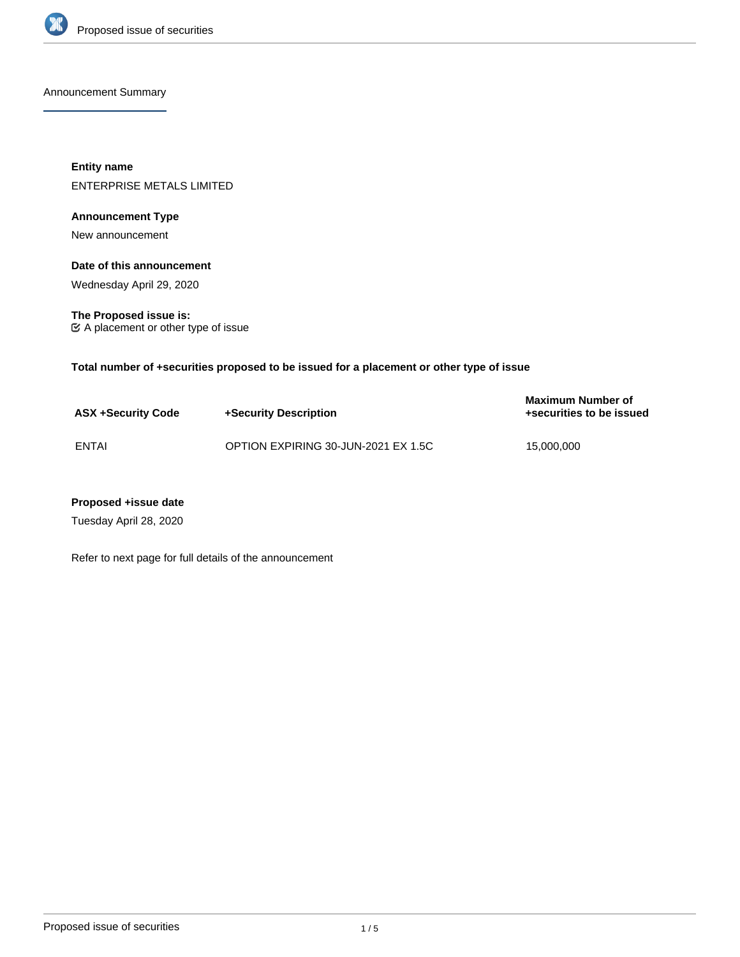

Announcement Summary

**Entity name** ENTERPRISE METALS LIMITED

# **Announcement Type**

New announcement

## **Date of this announcement**

Wednesday April 29, 2020

**The Proposed issue is:** A placement or other type of issue

**Total number of +securities proposed to be issued for a placement or other type of issue**

| <b>ASX +Security Code</b> | +Security Description               | Maximum Number of<br>+securities to be issued |
|---------------------------|-------------------------------------|-----------------------------------------------|
| ENTAI                     | OPTION EXPIRING 30-JUN-2021 EX 1.5C | 15,000,000                                    |

## **Proposed +issue date**

Tuesday April 28, 2020

Refer to next page for full details of the announcement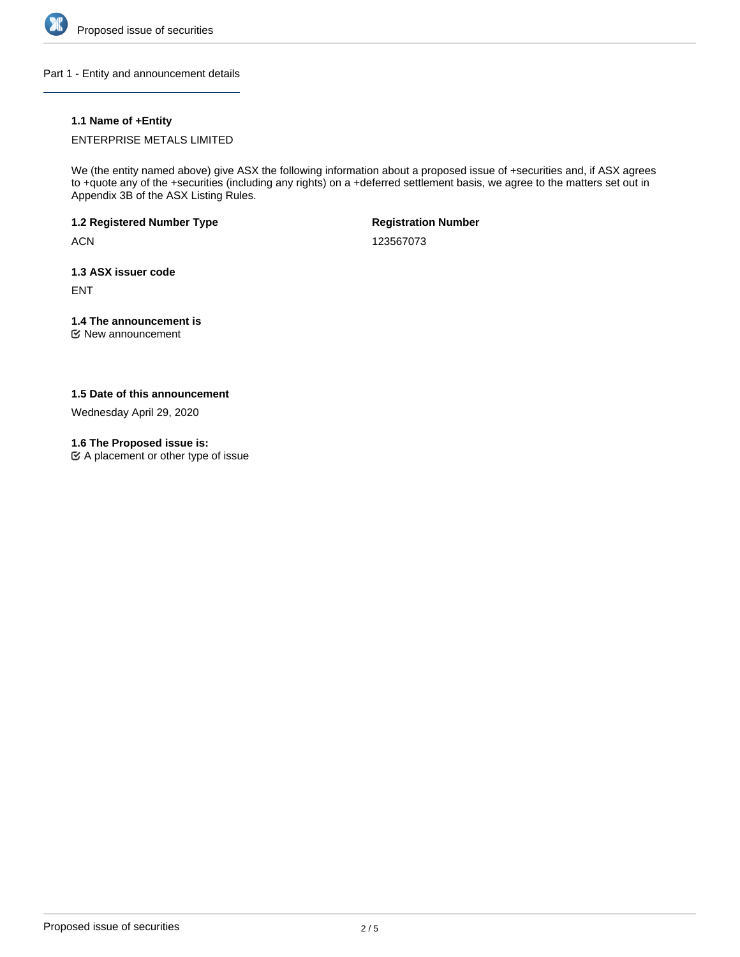

Part 1 - Entity and announcement details

# **1.1 Name of +Entity**

ENTERPRISE METALS LIMITED

We (the entity named above) give ASX the following information about a proposed issue of +securities and, if ASX agrees to +quote any of the +securities (including any rights) on a +deferred settlement basis, we agree to the matters set out in Appendix 3B of the ASX Listing Rules.

**1.2 Registered Number Type**

**ACN** 

**Registration Number**

123567073

**1.3 ASX issuer code**

ENT

# **1.4 The announcement is**

New announcement

## **1.5 Date of this announcement**

Wednesday April 29, 2020

## **1.6 The Proposed issue is:**

 $\mathfrak{C}$  A placement or other type of issue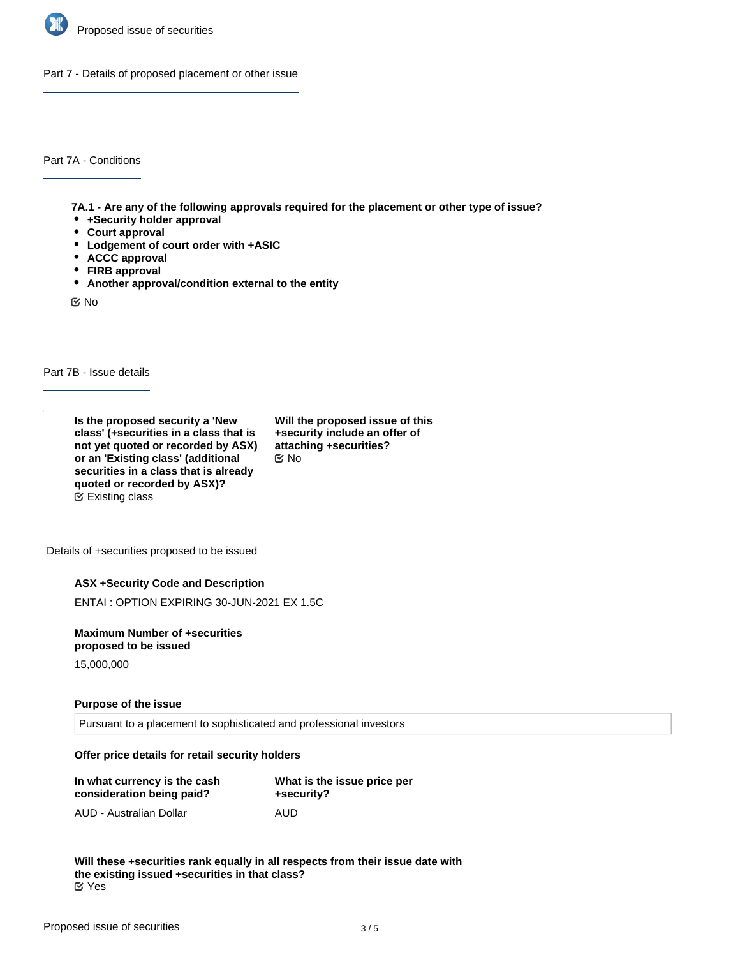

Part 7 - Details of proposed placement or other issue

Part 7A - Conditions

**7A.1 - Are any of the following approvals required for the placement or other type of issue?**

- **+Security holder approval**
- **Court approval**
- **Lodgement of court order with +ASIC**
- **ACCC approval**
- **FIRB approval**
- **Another approval/condition external to the entity**

No

Part 7B - Issue details

**Is the proposed security a 'New class' (+securities in a class that is not yet quoted or recorded by ASX) or an 'Existing class' (additional securities in a class that is already quoted or recorded by ASX)?** Existing class

**Will the proposed issue of this +security include an offer of attaching +securities?** No

Details of +securities proposed to be issued

#### **ASX +Security Code and Description**

ENTAI : OPTION EXPIRING 30-JUN-2021 EX 1.5C

**Maximum Number of +securities proposed to be issued**

15,000,000

#### **Purpose of the issue**

Pursuant to a placement to sophisticated and professional investors

### **Offer price details for retail security holders**

| In what currency is the cash | What is the issue price per |  |
|------------------------------|-----------------------------|--|
| consideration being paid?    | +security?                  |  |
| AUD - Australian Dollar      | AUD                         |  |

**Will these +securities rank equally in all respects from their issue date with the existing issued +securities in that class?** Yes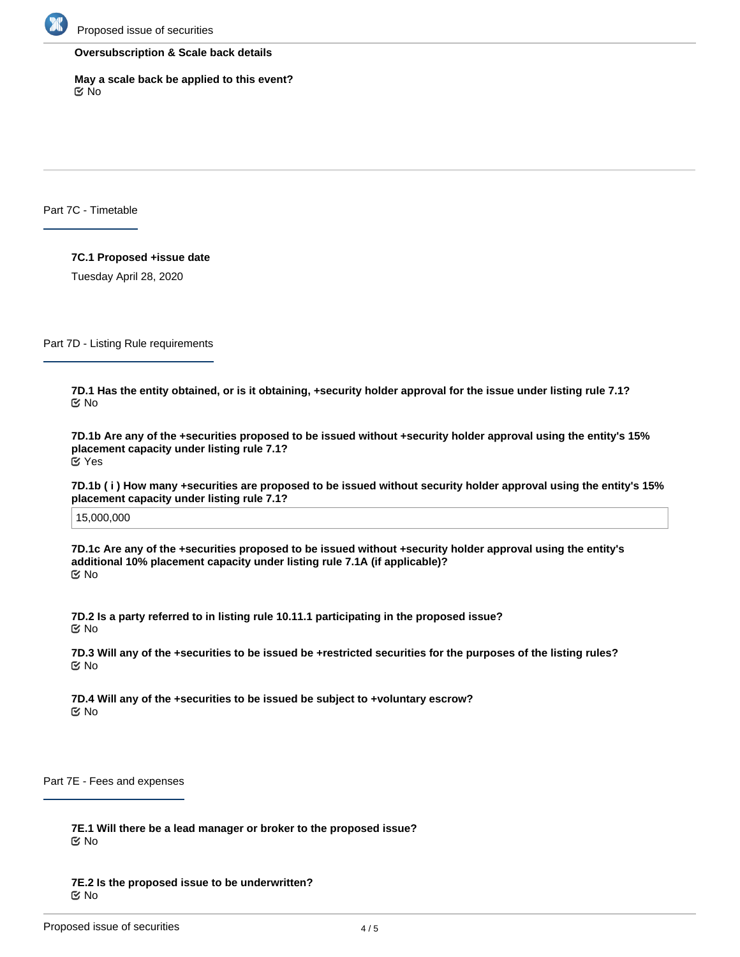

### **Oversubscription & Scale back details**

**May a scale back be applied to this event?** No

Part 7C - Timetable

**7C.1 Proposed +issue date** Tuesday April 28, 2020

Part 7D - Listing Rule requirements

**7D.1 Has the entity obtained, or is it obtaining, +security holder approval for the issue under listing rule 7.1?** No

**7D.1b Are any of the +securities proposed to be issued without +security holder approval using the entity's 15% placement capacity under listing rule 7.1?** Yes

**7D.1b ( i ) How many +securities are proposed to be issued without security holder approval using the entity's 15% placement capacity under listing rule 7.1?**

15,000,000

**7D.1c Are any of the +securities proposed to be issued without +security holder approval using the entity's additional 10% placement capacity under listing rule 7.1A (if applicable)?** No

**7D.2 Is a party referred to in listing rule 10.11.1 participating in the proposed issue?** No

**7D.3 Will any of the +securities to be issued be +restricted securities for the purposes of the listing rules?** No

**7D.4 Will any of the +securities to be issued be subject to +voluntary escrow?** No

Part 7E - Fees and expenses

**7E.1 Will there be a lead manager or broker to the proposed issue?** No

**7E.2 Is the proposed issue to be underwritten?** No